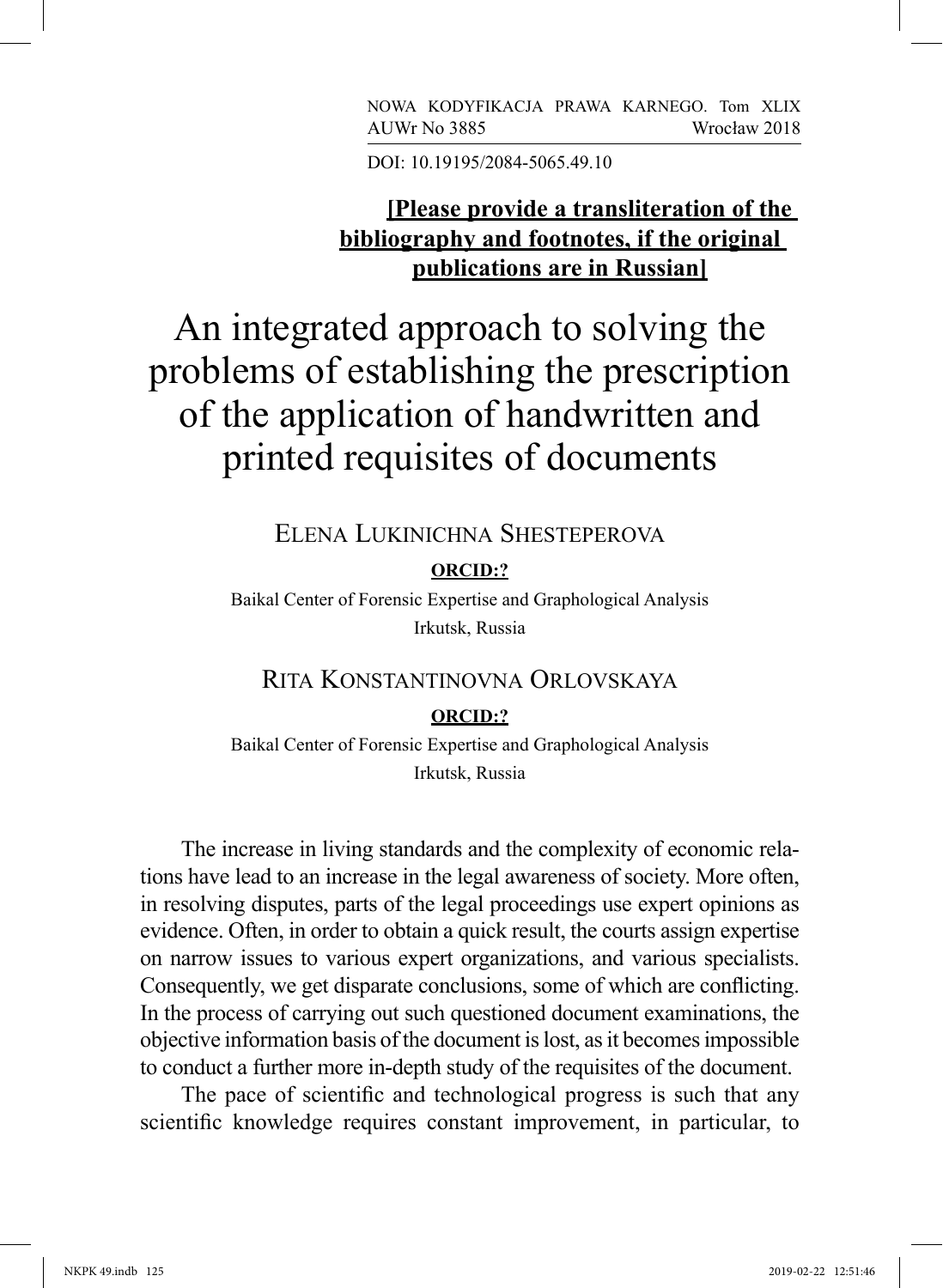NOWA KODYFIKACJA PRAWA KARNEGO. Tom XLIX AUWr No 3885 Wrocław 2018

DOI: 10.19195/2084-5065.49.10

# **[Please provide a transliteration of the bibliography and footnotes, if the original publications are in Russian]**

An integrated approach to solving the problems of establishing the prescription of the application of handwritten and printed requisites of documents

Elena Lukinichna Shesteperova

**ORCID:?**

Baikal Center of Forensic Expertise and Graphological Analysis Irkutsk, Russia

## Rita Konstantinovna Orlovskaya

#### **ORCID:?**

Baikal Center of Forensic Expertise and Graphological Analysis Irkutsk, Russia

The increase in living standards and the complexity of economic relations have lead to an increase in the legal awareness of society. More often, in resolving disputes, parts of the legal proceedings use expert opinions as evidence. Often, in order to obtain a quick result, the courts assign expertise on narrow issues to various expert organizations, and various specialists. Consequently, we get disparate conclusions, some of which are conflicting. In the process of carrying out such questioned document examinations, the objective information basis of the document is lost, as it becomes impossible to conduct a further more in-depth study of the requisites of the document.

The pace of scientific and technological progress is such that any scientific knowledge requires constant improvement, in particular, to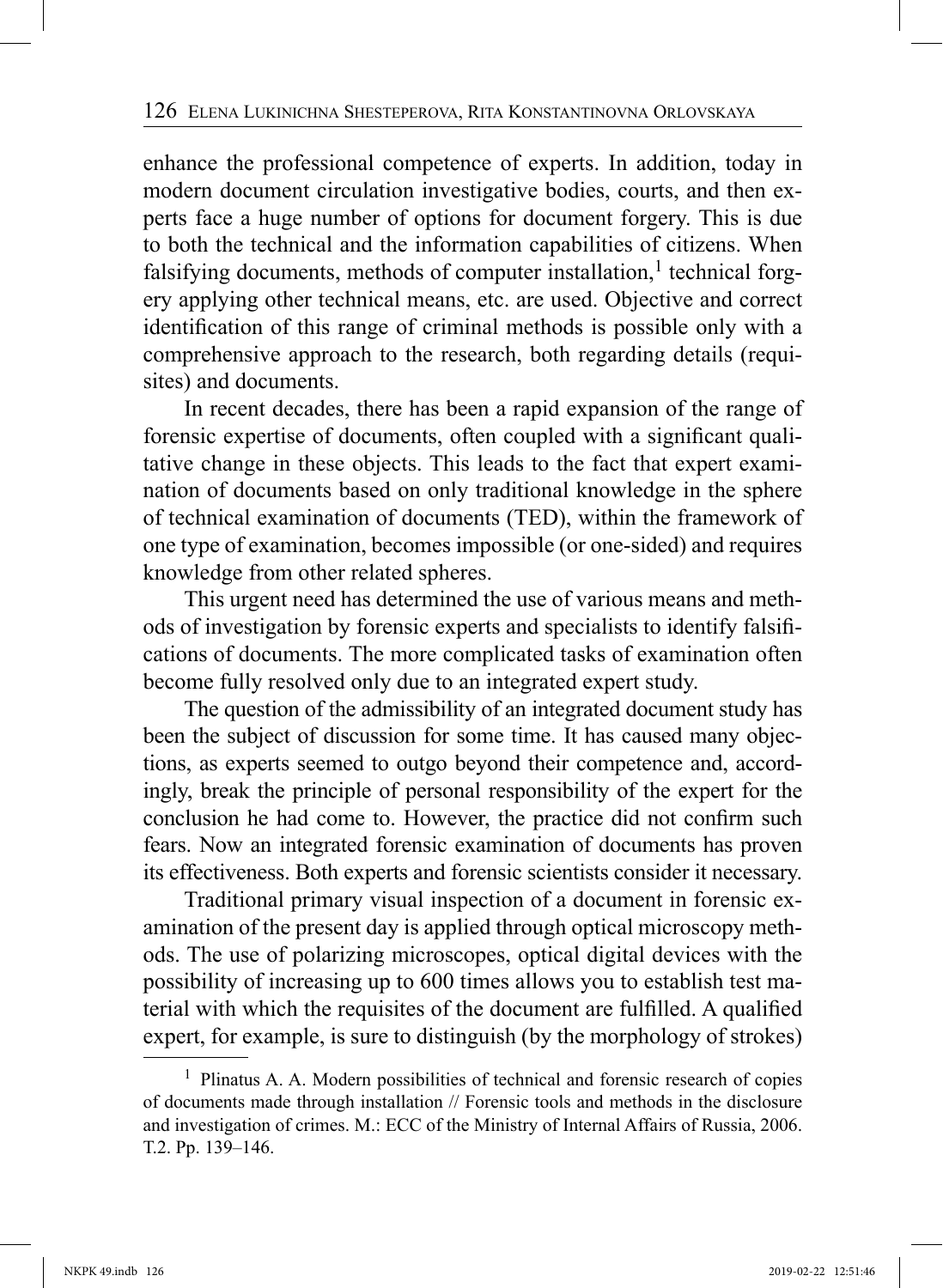enhance the professional competence of experts. In addition, today in modern document circulation investigative bodies, courts, and then experts face a huge number of options for document forgery. This is due to both the technical and the information capabilities of citizens. When falsifying documents, methods of computer installation, $<sup>1</sup>$  technical forg-</sup> ery applying other technical means, etc. are used. Objective and correct identification of this range of criminal methods is possible only with a comprehensive approach to the research, both regarding details (requisites) and documents.

In recent decades, there has been a rapid expansion of the range of forensic expertise of documents, often coupled with a significant qualitative change in these objects. This leads to the fact that expert examination of documents based on only traditional knowledge in the sphere of technical examination of documents (TED), within the framework of one type of examination, becomes impossible (or one-sided) and requires knowledge from other related spheres.

This urgent need has determined the use of various means and methods of investigation by forensic experts and specialists to identify falsifications of documents. The more complicated tasks of examination often become fully resolved only due to an integrated expert study.

The question of the admissibility of an integrated document study has been the subject of discussion for some time. It has caused many objections, as experts seemed to outgo beyond their competence and, accordingly, break the principle of personal responsibility of the expert for the conclusion he had come to. However, the practice did not confirm such fears. Now an integrated forensic examination of documents has proven its effectiveness. Both experts and forensic scientists consider it necessary.

Traditional primary visual inspection of a document in forensic examination of the present day is applied through optical microscopy methods. The use of polarizing microscopes, optical digital devices with the possibility of increasing up to 600 times allows you to establish test material with which the requisites of the document are fulfilled. A qualified expert, for example, is sure to distinguish (by the morphology of strokes)

 $<sup>1</sup>$  Plinatus A. A. Modern possibilities of technical and forensic research of copies</sup> of documents made through installation // Forensic tools and methods in the disclosure and investigation of crimes. М.: ECC of the Ministry of Internal Affairs of Russia, 2006. Т.2. Pp. 139–146.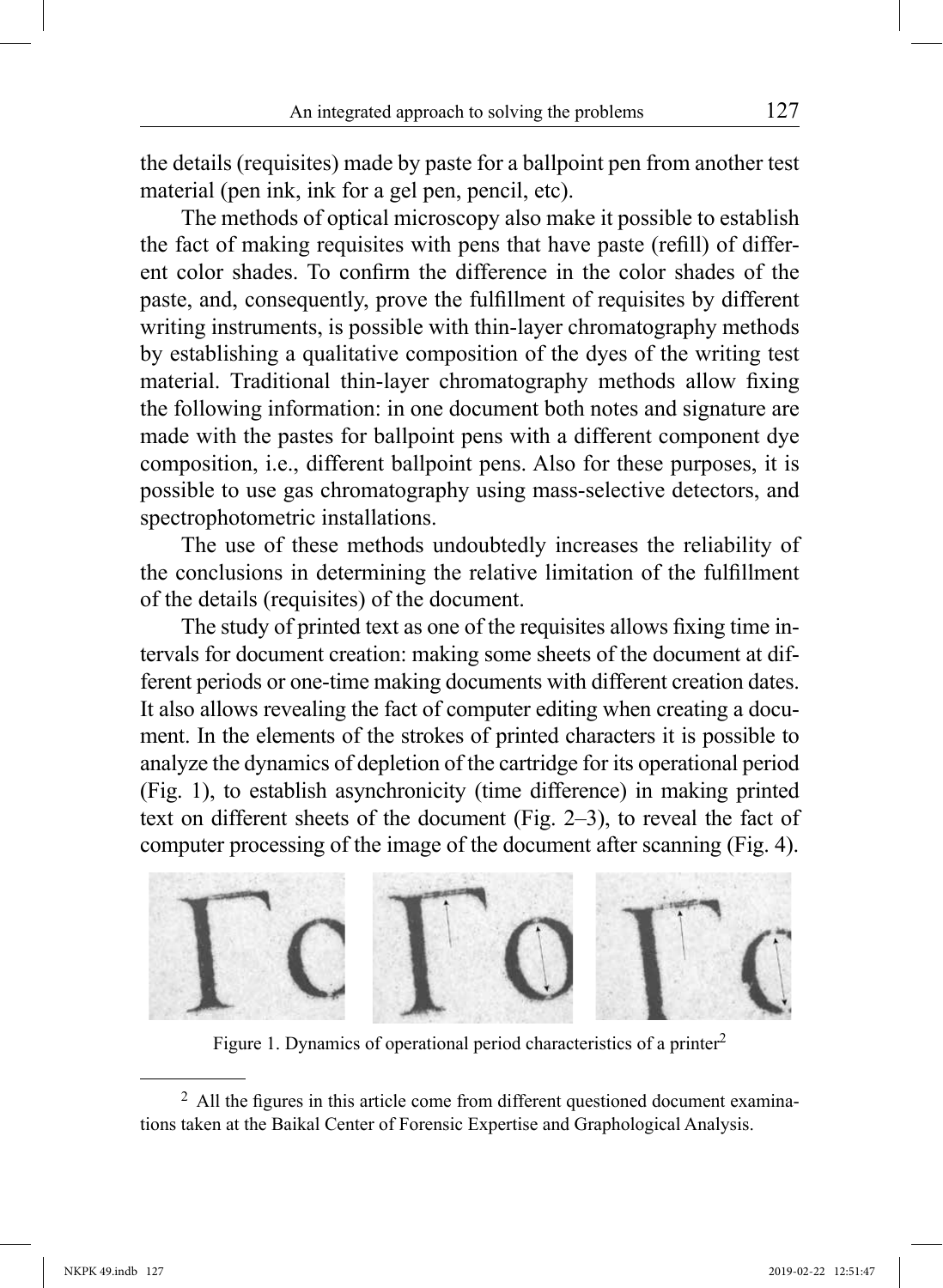the details (requisites) made by paste for a ballpoint pen from another test material (pen ink, ink for a gel pen, pencil, etc).

The methods of optical microscopy also make it possible to establish the fact of making requisites with pens that have paste (refill) of different color shades. To confirm the difference in the color shades of the paste, and, consequently, prove the fulfillment of requisites by different writing instruments, is possible with thin-layer chromatography methods by establishing a qualitative composition of the dyes of the writing test material. Traditional thin-layer chromatography methods allow fixing the following information: in one document both notes and signature are made with the pastes for ballpoint pens with a different component dye composition, i.e., different ballpoint pens. Also for these purposes, it is possible to use gas chromatography using mass-selective detectors, and spectrophotometric installations.

The use of these methods undoubtedly increases the reliability of the conclusions in determining the relative limitation of the fulfillment of the details (requisites) of the document.

The study of printed text as one of the requisites allows fixing time intervals for document creation: making some sheets of the document at different periods or one-time making documents with different creation dates. It also allows revealing the fact of computer editing when creating a document. In the elements of the strokes of printed characters it is possible to analyze the dynamics of depletion of the cartridge for its operational period (Fig. 1), to establish asynchronicity (time difference) in making printed text on different sheets of the document (Fig. 2–3), to reveal the fact of computer processing of the image of the document after scanning (Fig. 4).



Figure 1. Dynamics of operational period characteristics of a printer<sup>2</sup>

<sup>&</sup>lt;sup>2</sup> All the figures in this article come from different questioned document examinations taken at the Baikal Center of Forensic Expertise and Graphological Analysis.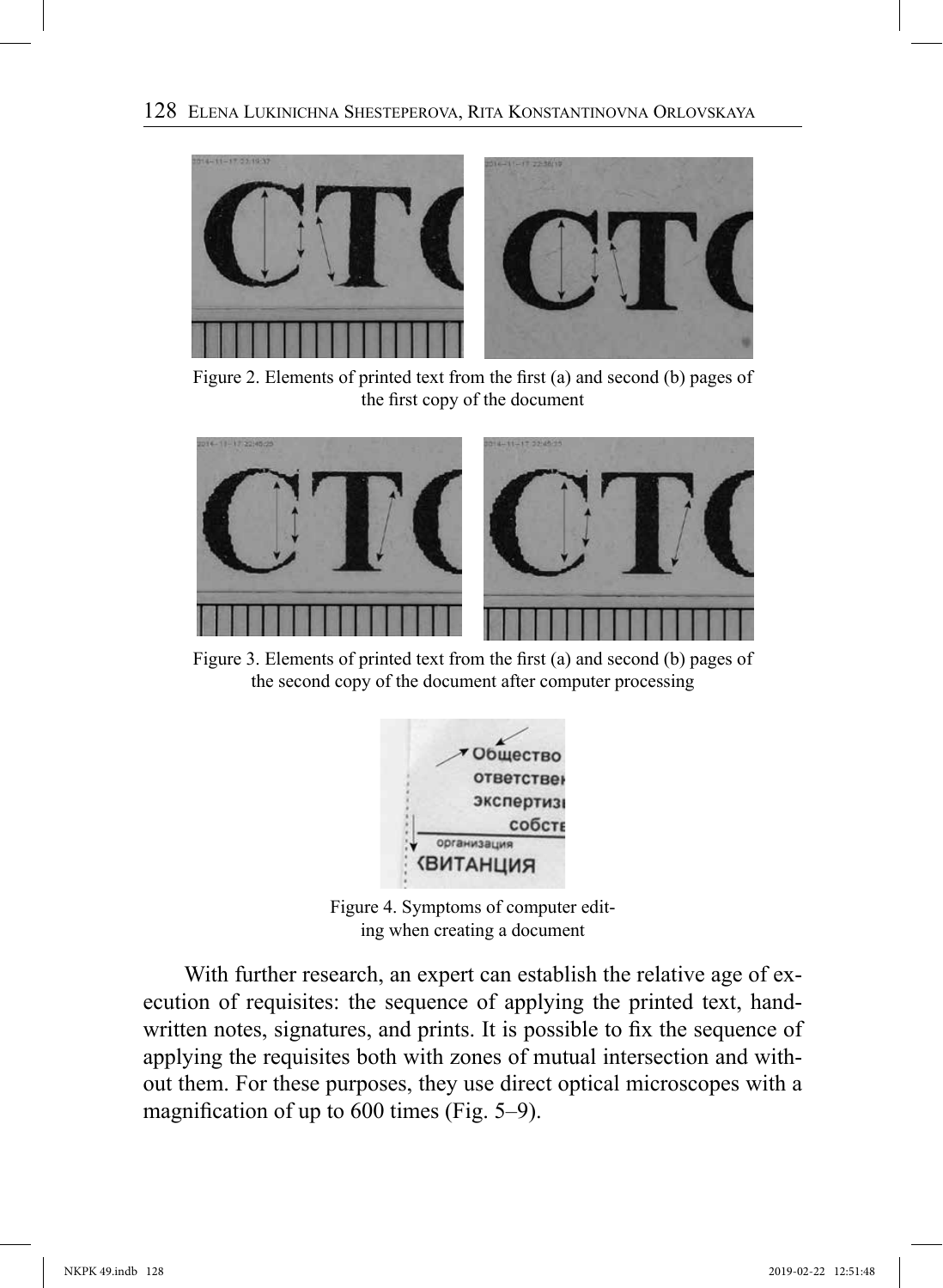

Figure 2. Elements of printed text from the first (a) and second (b) pages of the first copy of the document



Figure 3. Elements of printed text from the first (a) and second (b) pages of the second copy of the document after computer processing



Figure 4. Symptoms of computer editing when creating a document

With further research, an expert can establish the relative age of execution of requisites: the sequence of applying the printed text, handwritten notes, signatures, and prints. It is possible to fix the sequence of applying the requisites both with zones of mutual intersection and without them. For these purposes, they use direct optical microscopes with a magnification of up to 600 times (Fig. 5–9).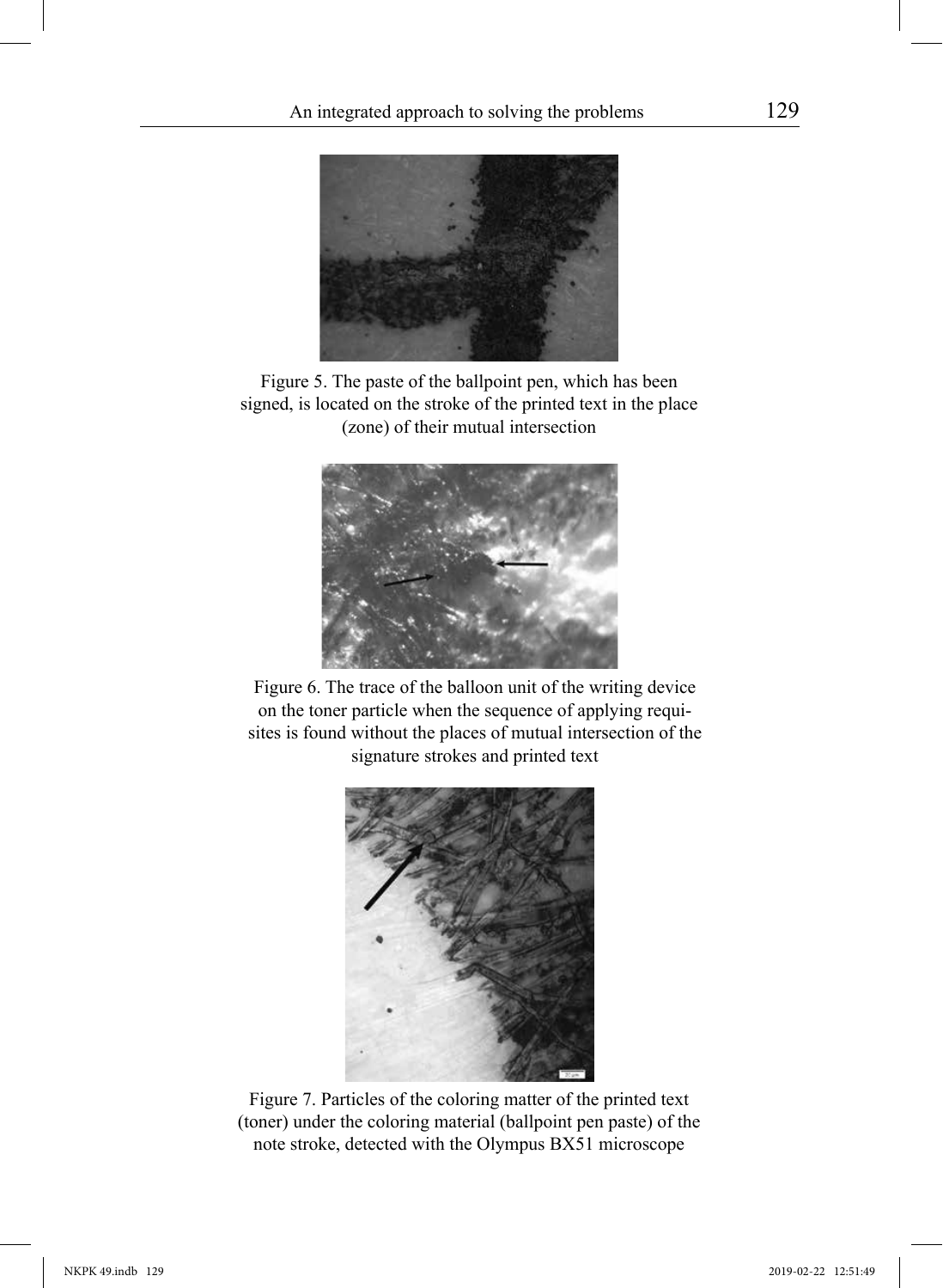

Figure 5. The paste of the ballpoint pen, which has been signed, is located on the stroke of the printed text in the place (zone) of their mutual intersection



Figure 6. The trace of the balloon unit of the writing device on the toner particle when the sequence of applying requisites is found without the places of mutual intersection of the signature strokes and printed text



Figure 7. Particles of the coloring matter of the printed text (toner) under the coloring material (ballpoint pen paste) of the note stroke, detected with the Olympus BX51 microscope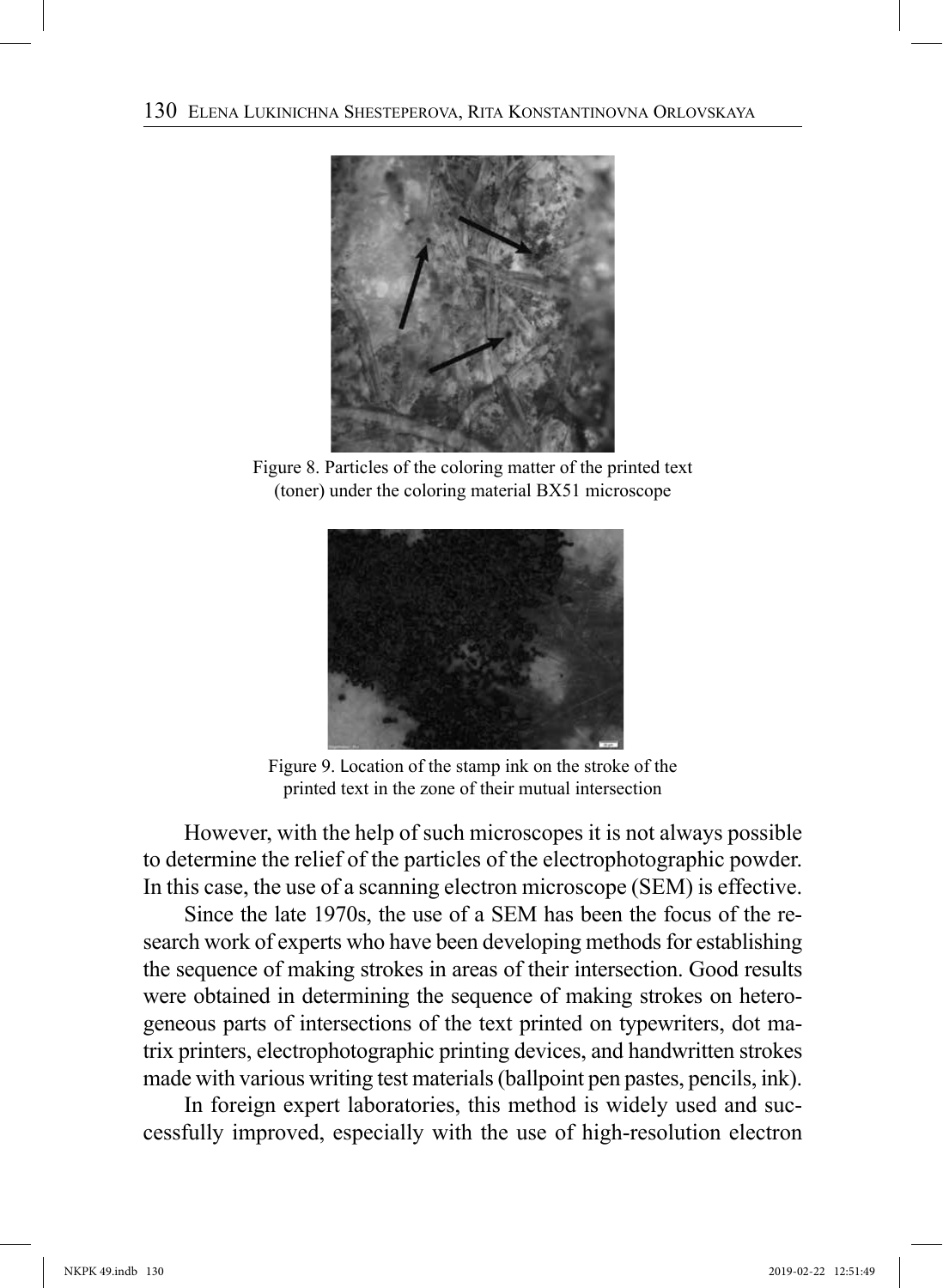

Figure 8. Particles of the coloring matter of the printed text (toner) under the coloring material BX51 microscope



Figure 9. Location of the stamp ink on the stroke of the printed text in the zone of their mutual intersection

However, with the help of such microscopes it is not always possible to determine the relief of the particles of the electrophotographic powder. In this case, the use of a scanning electron microscope (SEM) is effective.

Since the late 1970s, the use of a SEM has been the focus of the research work of experts who have been developing methods for establishing the sequence of making strokes in areas of their intersection. Good results were obtained in determining the sequence of making strokes on heterogeneous parts of intersections of the text printed on typewriters, dot matrix printers, electrophotographic printing devices, and handwritten strokes made with various writing test materials (ballpoint pen pastes, pencils, ink).

In foreign expert laboratories, this method is widely used and successfully improved, especially with the use of high-resolution electron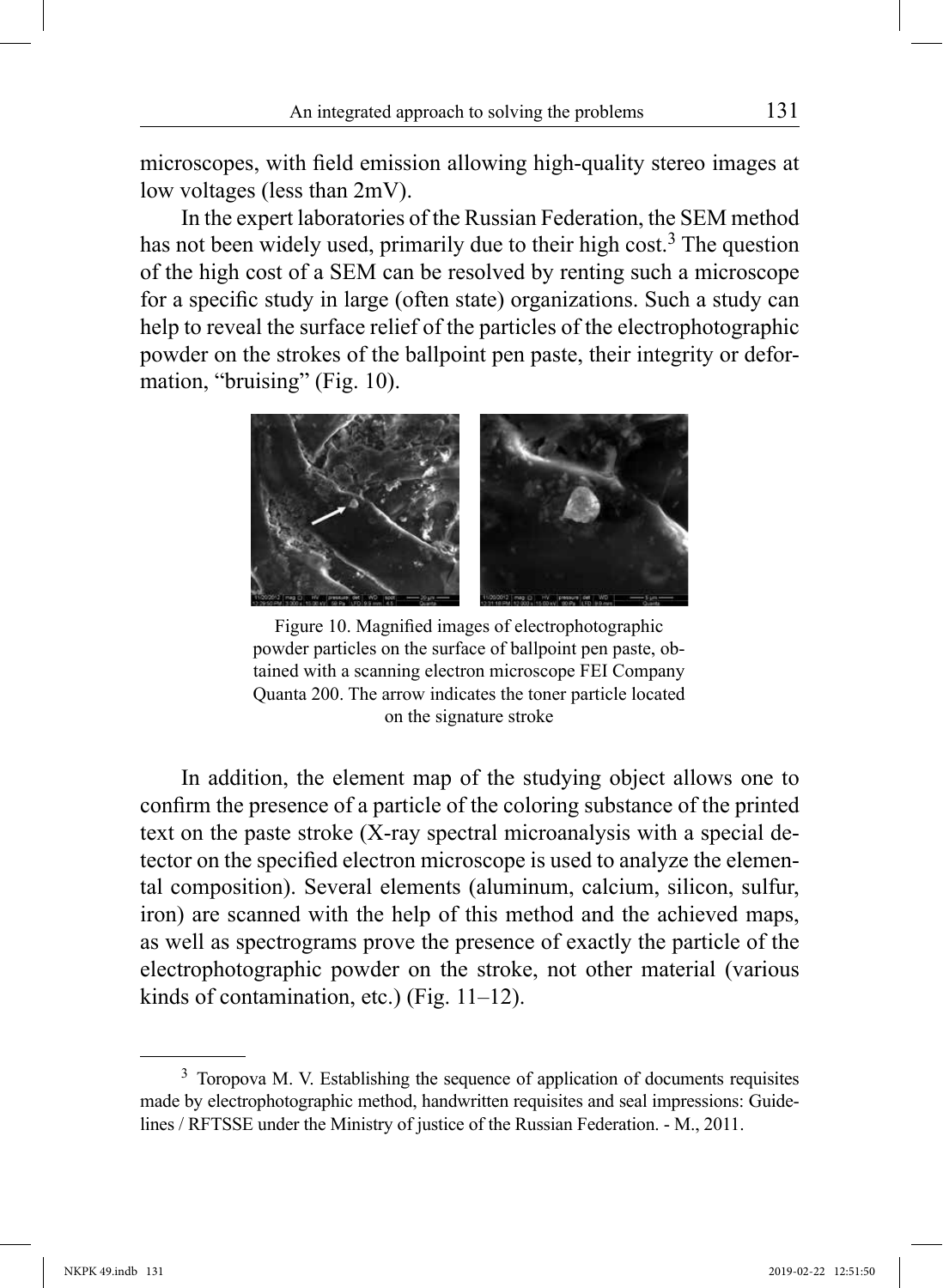microscopes, with field emission allowing high-quality stereo images at low voltages (less than 2mV).

In the expert laboratories of the Russian Federation, the SEM method has not been widely used, primarily due to their high cost.<sup>3</sup> The question of the high cost of a SEM can be resolved by renting such a microscope for a specific study in large (often state) organizations. Such a study can help to reveal the surface relief of the particles of the electrophotographic powder on the strokes of the ballpoint pen paste, their integrity or deformation, "bruising" (Fig. 10).



Figure 10. Magnified images of electrophotographic powder particles on the surface of ballpoint pen paste, obtained with a scanning electron microscope FEI Company Quanta 200. The arrow indicates the toner particle located on the signature stroke

In addition, the element map of the studying object allows one to confirm the presence of a particle of the coloring substance of the printed text on the paste stroke (X-ray spectral microanalysis with a special detector on the specified electron microscope is used to analyze the elemental composition). Several elements (aluminum, calcium, silicon, sulfur, iron) are scanned with the help of this method and the achieved maps, as well as spectrograms prove the presence of exactly the particle of the electrophotographic powder on the stroke, not other material (various kinds of contamination, etc.) (Fig. 11–12).

<sup>&</sup>lt;sup>3</sup> Toropova M. V. Establishing the sequence of application of documents requisites made by electrophotographic method, handwritten requisites and seal impressions: Guidelines / RFTSSE under the Ministry of justice of the Russian Federation. - M., 2011.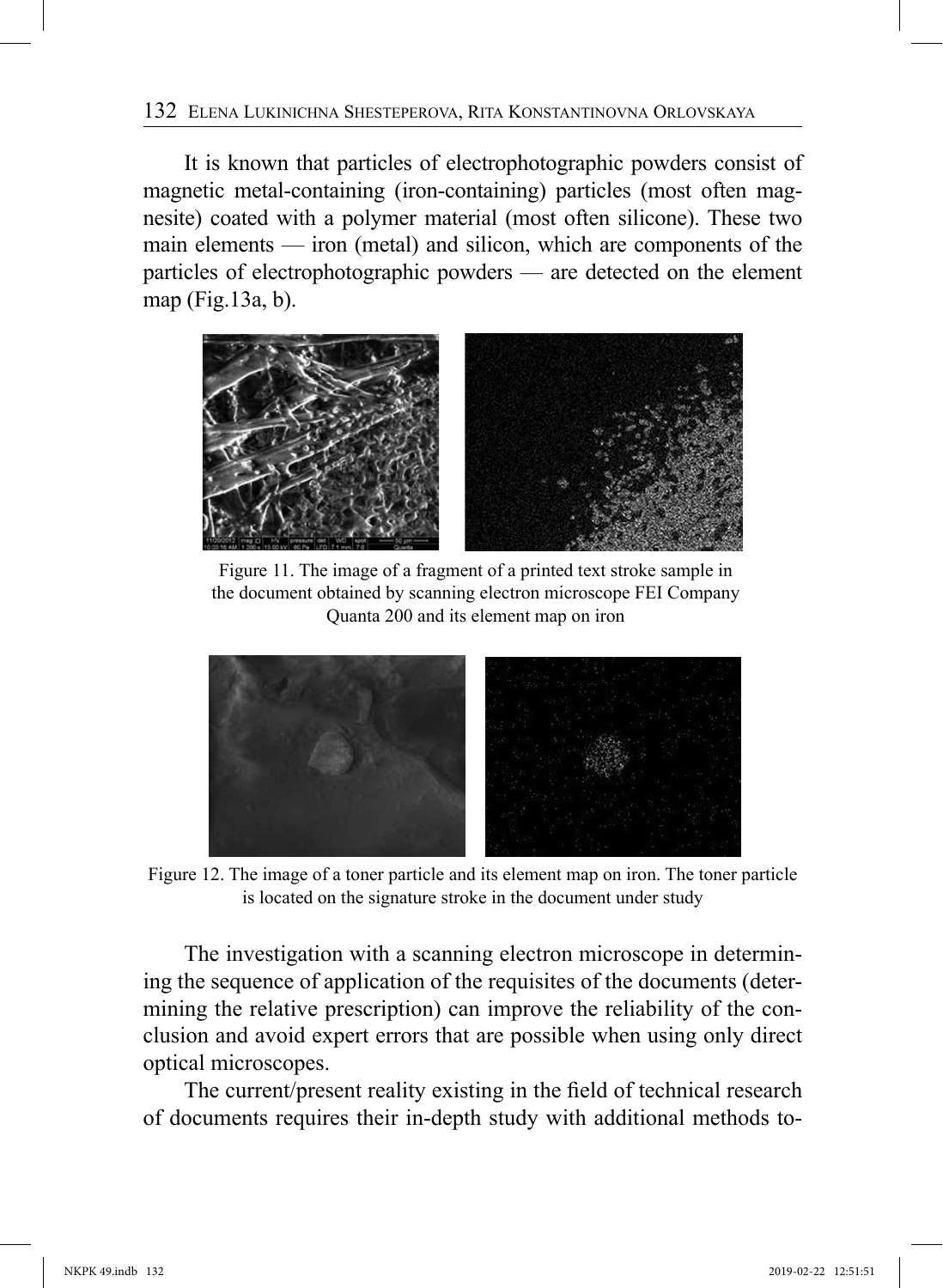#### 132 Elena Lukinichna Shesteperova, Rita Konstantinovna Orlovskaya

It is known that particles of electrophotographic powders consist of magnetic metal-containing (iron-containing) particles (most often magnesite) coated with a polymer material (most often silicone). These two main elements — iron (metal) and silicon, which are components of the particles of electrophotographic powders — are detected on the element map (Fig.13a, b).



Figure 11. The image of a fragment of a printed text stroke sample in the document obtained by scanning electron microscope FEI Company Quanta 200 and its element map on iron



Figure 12. The image of a toner particle and its element map on iron. The toner particle is located on the signature stroke in the document under study

The investigation with a scanning electron microscope in determining the sequence of application of the requisites of the documents (determining the relative prescription) can improve the reliability of the conclusion and avoid expert errors that are possible when using only direct optical microscopes.

The current/present reality existing in the field of technical research of documents requires their in-depth study with additional methods to-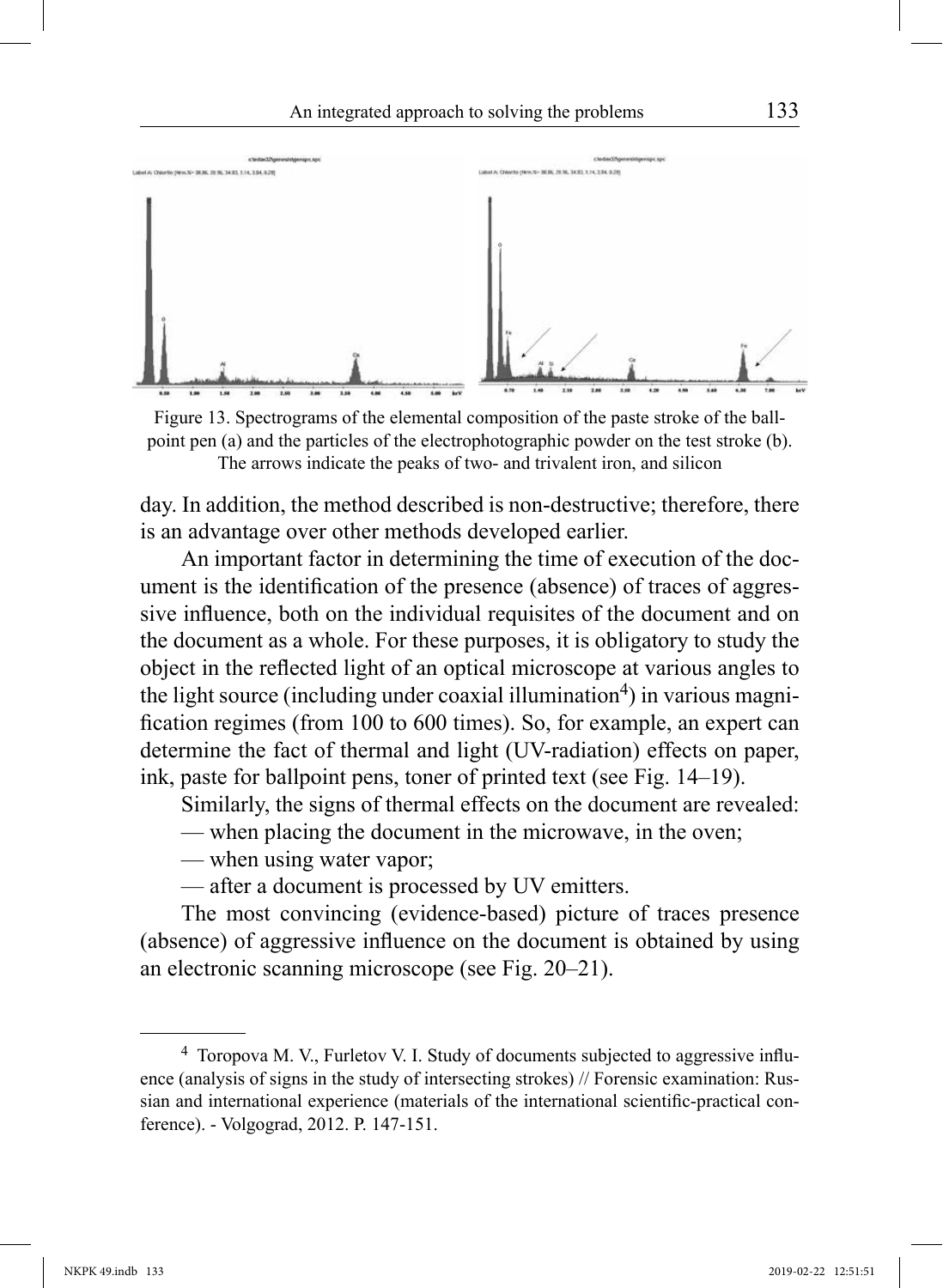

Figure 13. Spectrograms of the elemental composition of the paste stroke of the ballpoint pen (a) and the particles of the electrophotographic powder on the test stroke (b). The arrows indicate the peaks of two- and trivalent iron, and silicon

day. In addition, the method described is non-destructive; therefore, there is an advantage over other methods developed earlier.

An important factor in determining the time of execution of the document is the identification of the presence (absence) of traces of aggressive influence, both on the individual requisites of the document and on the document as a whole. For these purposes, it is obligatory to study the object in the reflected light of an optical microscope at various angles to the light source (including under coaxial illumination<sup>4</sup>) in various magnification regimes (from 100 to 600 times). So, for example, an expert can determine the fact of thermal and light (UV-radiation) effects on paper, ink, paste for ballpoint pens, toner of printed text (see Fig. 14–19).

Similarly, the signs of thermal effects on the document are revealed:

— when placing the document in the microwave, in the oven;

— when using water vapor;

— after a document is processed by UV emitters.

The most convincing (evidence-based) picture of traces presence (absence) of aggressive influence on the document is obtained by using an electronic scanning microscope (see Fig. 20–21).

<sup>4</sup> Toropova M. V., Furletov V. I. Study of documents subjected to aggressive influence (analysis of signs in the study of intersecting strokes) // Forensic examination: Russian and international experience (materials of the international scientific-practical conference). - Volgograd, 2012. P. 147-151.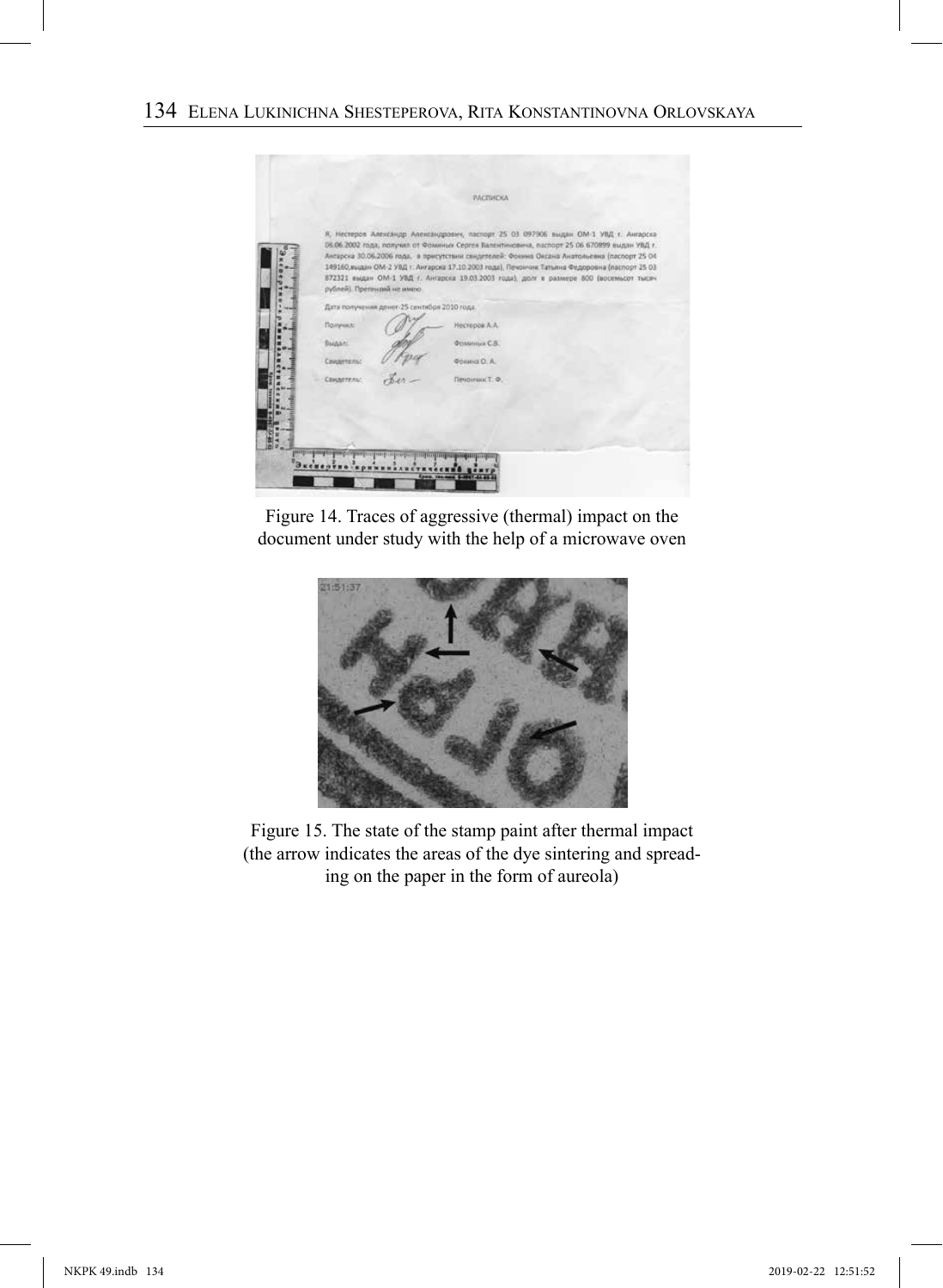

Figure 14. Traces of aggressive (thermal) impact on the document under study with the help of a microwave oven



Figure 15. The state of the stamp paint after thermal impact (the arrow indicates the areas of the dye sintering and spreading on the paper in the form of aureola)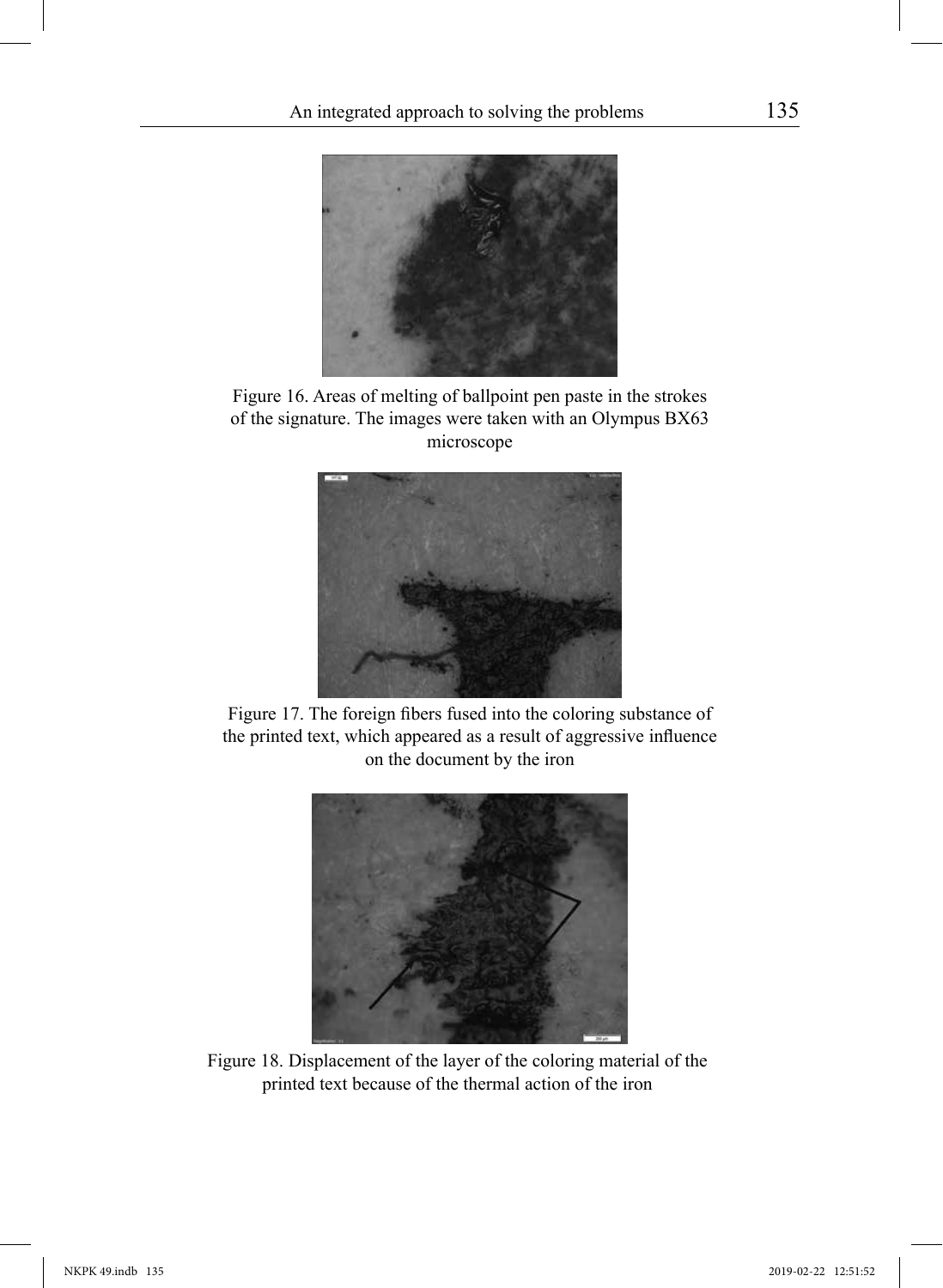

Figure 16. Areas of melting of ballpoint pen paste in the strokes of the signature. The images were taken with an Olympus BX63 microscope



Figure 17. The foreign fibers fused into the coloring substance of the printed text, which appeared as a result of aggressive influence on the document by the iron



Figure 18. Displacement of the layer of the coloring material of the printed text because of the thermal action of the iron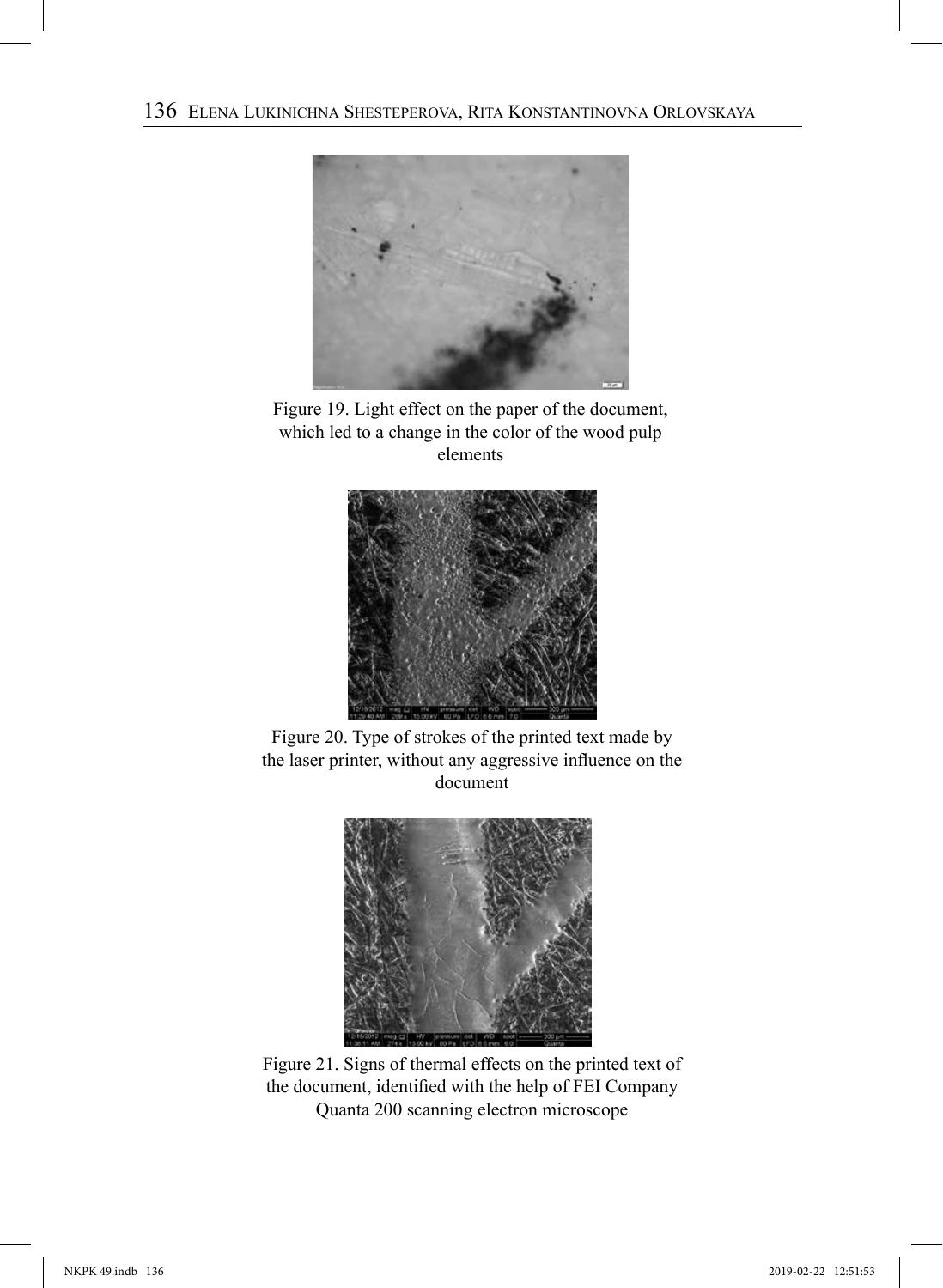

Figure 19. Light effect on the paper of the document, which led to a change in the color of the wood pulp elements



Figure 20. Type of strokes of the printed text made by the laser printer, without any aggressive influence on the document



Figure 21. Signs of thermal effects on the printed text of the document, identified with the help of FEI Company Quanta 200 scanning electron microscope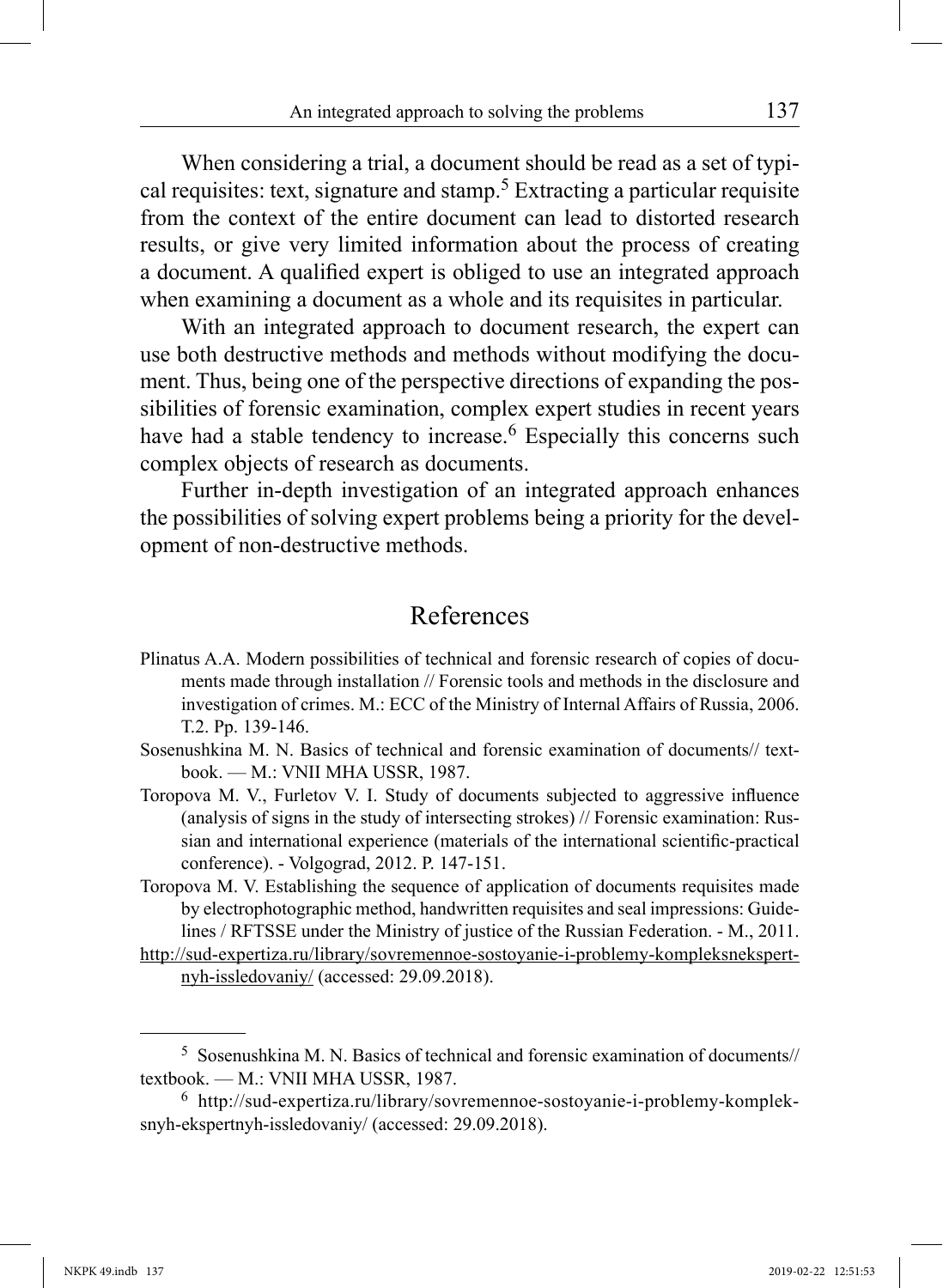When considering a trial, a document should be read as a set of typical requisites: text, signature and stamp.5 Extracting a particular requisite from the context of the entire document can lead to distorted research results, or give very limited information about the process of creating a document. A qualified expert is obliged to use an integrated approach when examining a document as a whole and its requisites in particular.

With an integrated approach to document research, the expert can use both destructive methods and methods without modifying the document. Thus, being one of the perspective directions of expanding the possibilities of forensic examination, complex expert studies in recent years have had a stable tendency to increase.<sup>6</sup> Especially this concerns such complex objects of research as documents.

Further in-depth investigation of an integrated approach enhances the possibilities of solving expert problems being a priority for the development of non-destructive methods.

# References

- Plinatus A.A. Modern possibilities of technical and forensic research of copies of documents made through installation // Forensic tools and methods in the disclosure and investigation of crimes. М.: ECC of the Ministry of Internal Affairs of Russia, 2006. Т.2. Pp. 139-146.
- Sosenushkina M. N. Basics of technical and forensic examination of documents// textbook. — M.: VNII MHA USSR, 1987.
- Toropova M. V., Furletov V. I. Study of documents subjected to aggressive influence (analysis of signs in the study of intersecting strokes) // Forensic examination: Russian and international experience (materials of the international scientific-practical conference). - Volgograd, 2012. P. 147-151.
- Toropova M. V. Establishing the sequence of application of documents requisites made by electrophotographic method, handwritten requisites and seal impressions: Guidelines / RFTSSE under the Ministry of justice of the Russian Federation. - M., 2011.
- http://sud-expertiza.ru/library/sovremennoe-sostoyanie-i-problemy-kompleksnekspertnyh-issledovaniy/ (accessed: 29.09.2018).

<sup>5</sup> Sosenushkina M. N. Basics of technical and forensic examination of documents// textbook. — M.: VNII MHA USSR, 1987.

<sup>6</sup> http://sud-expertiza.ru/library/sovremennoe-sostoyanie-i-problemy-kompleksnyh-ekspertnyh-issledovaniy/ (accessed: 29.09.2018).